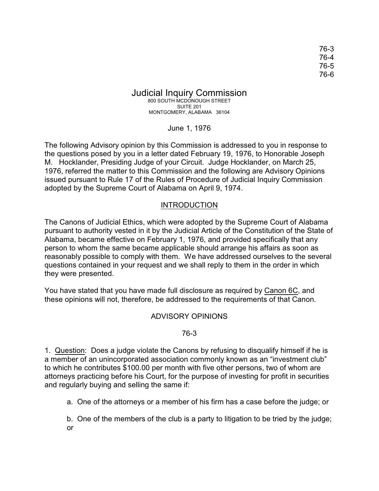76-3 76-4 76-5 76-6

Judicial Inquiry Commission 800 SOUTH MCDONOUGH STREET SUITE 201 MONTGOMERY, ALABAMA 36104

June 1, 1976

The following Advisory opinion by this Commission is addressed to you in response to the questions posed by you in a letter dated February 19, 1976, to Honorable Joseph M. Hocklander, Presiding Judge of your Circuit. Judge Hocklander, on March 25, 1976, referred the matter to this Commission and the following are Advisory Opinions issued pursuant to Rule 17 of the Rules of Procedure of Judicial Inquiry Commission adopted by the Supreme Court of Alabama on April 9, 1974.

# INTRODUCTION

The Canons of Judicial Ethics, which were adopted by the Supreme Court of Alabama pursuant to authority vested in it by the Judicial Article of the Constitution of the State of Alabama, became effective on February 1, 1976, and provided specifically that any person to whom the same became applicable should arrange his affairs as soon as reasonably possible to comply with them. We have addressed ourselves to the several questions contained in your request and we shall reply to them in the order in which they were presented.

You have stated that you have made full disclosure as required by Canon 6C, and these opinions will not, therefore, be addressed to the requirements of that Canon.

# ADVISORY OPINIONS

#### 76-3

1. Question: Does a judge violate the Canons by refusing to disqualify himself if he is a member of an unincorporated association commonly known as an "investment club" to which he contributes \$100.00 per month with five other persons, two of whom are attorneys practicing before his Court, for the purpose of investing for profit in securities and regularly buying and selling the same if:

a. One of the attorneys or a member of his firm has a case before the judge; or

b. One of the members of the club is a party to litigation to be tried by the judge; or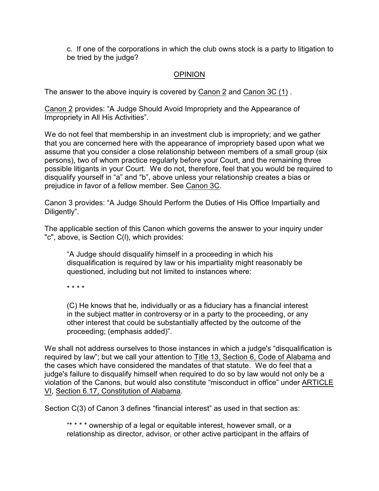c. If one of the corporations in which the club owns stock is a party to litigation to be tried by the judge?

# **OPINION**

The answer to the above inquiry is covered by Canon 2 and Canon 3C (1) .

Canon 2 provides: "A Judge Should Avoid Impropriety and the Appearance of Impropriety in All His Activities".

We do not feel that membership in an investment club is impropriety; and we gather that you are concerned here with the appearance of impropriety based upon what we assume that you consider a close relationship between members of a small group (six persons), two of whom practice regularly before your Court, and the remaining three possible litigants in your Court. We do not, therefore, feel that you would be required to disqualify yourself in "a" and "b", above unless your relationship creates a bias or prejudice in favor of a fellow member. See Canon 3C.

Canon 3 provides: "A Judge Should Perform the Duties of His Office Impartially and Diligently".

The applicable section of this Canon which governs the answer to your inquiry under "c", above, is Section C(l), which provides:

"A Judge should disqualify himself in a proceeding in which his disqualification is required by law or his impartiality might reasonably be questioned, including but not limited to instances where:

\* \* \* \*

(C) He knows that he, individually or as a fiduciary has a financial interest in the subject matter in controversy or in a party to the proceeding, or any other interest that could be substantially affected by the outcome of the proceeding; (emphasis added)".

We shall not address ourselves to those instances in which a judge's "disqualification is required by law"; but we call your attention to Title 13, Section 6, Code of Alabama and the cases which have considered the mandates of that statute. We do feel that a judge's failure to disqualify himself when required to do so by law would not only be a violation of the Canons, but would also constitute "misconduct in office" under ARTICLE VI, Section 6.17, Constitution of Alabama.

Section C(3) of Canon 3 defines "financial interest" as used in that section as:

"\* \* \* \* ownership of a legal or equitable interest, however small, or a relationship as director, advisor, or other active participant in the affairs of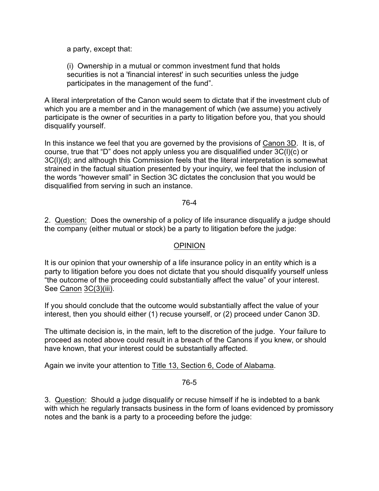a party, except that:

(i) Ownership in a mutual or common investment fund that holds securities is not a 'financial interest' in such securities unless the judge participates in the management of the fund".

A literal interpretation of the Canon would seem to dictate that if the investment club of which you are a member and in the management of which (we assume) you actively participate is the owner of securities in a party to litigation before you, that you should disqualify yourself.

In this instance we feel that you are governed by the provisions of Canon 3D. It is, of course, true that "D" does not apply unless you are disqualified under 3C(l)(c) or 3C(l)(d); and although this Commission feels that the literal interpretation is somewhat strained in the factual situation presented by your inquiry, we feel that the inclusion of the words "however small" in Section 3C dictates the conclusion that you would be disqualified from serving in such an instance.

# 76-4

2. Question: Does the ownership of a policy of life insurance disqualify a judge should the company (either mutual or stock) be a party to litigation before the judge:

# **OPINION**

It is our opinion that your ownership of a life insurance policy in an entity which is a party to litigation before you does not dictate that you should disqualify yourself unless "the outcome of the proceeding could substantially affect the value" of your interest. See Canon 3C(3)(iii).

If you should conclude that the outcome would substantially affect the value of your interest, then you should either (1) recuse yourself, or (2) proceed under Canon 3D.

The ultimate decision is, in the main, left to the discretion of the judge. Your failure to proceed as noted above could result in a breach of the Canons if you knew, or should have known, that your interest could be substantially affected.

Again we invite your attention to Title 13, Section 6, Code of Alabama.

#### 76-5

3. Question: Should a judge disqualify or recuse himself if he is indebted to a bank with which he regularly transacts business in the form of loans evidenced by promissory notes and the bank is a party to a proceeding before the judge: